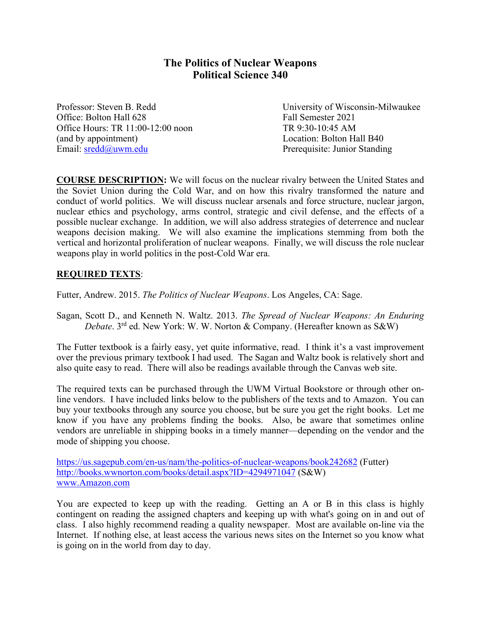# **The Politics of Nuclear Weapons Political Science 340**

Office: Bolton Hall 628 Fall Semester 2021 Office Hours: TR 11:00-12:00 noon TR 9:30-10:45 AM (and by appointment) Location: Bolton Hall B40 Email: sredd@uwm.edu Prerequisite: Junior Standing

Professor: Steven B. Redd University of Wisconsin-Milwaukee

**COURSE DESCRIPTION:** We will focus on the nuclear rivalry between the United States and the Soviet Union during the Cold War, and on how this rivalry transformed the nature and conduct of world politics. We will discuss nuclear arsenals and force structure, nuclear jargon, nuclear ethics and psychology, arms control, strategic and civil defense, and the effects of a possible nuclear exchange. In addition, we will also address strategies of deterrence and nuclear weapons decision making. We will also examine the implications stemming from both the vertical and horizontal proliferation of nuclear weapons. Finally, we will discuss the role nuclear weapons play in world politics in the post-Cold War era.

## **REQUIRED TEXTS**:

Futter, Andrew. 2015. *The Politics of Nuclear Weapons*. Los Angeles, CA: Sage.

Sagan, Scott D., and Kenneth N. Waltz. 2013. *The Spread of Nuclear Weapons: An Enduring Debate*. 3<sup>rd</sup> ed. New York: W. W. Norton & Company. (Hereafter known as S&W)

The Futter textbook is a fairly easy, yet quite informative, read. I think it's a vast improvement over the previous primary textbook I had used. The Sagan and Waltz book is relatively short and also quite easy to read. There will also be readings available through the Canvas web site.

The required texts can be purchased through the UWM Virtual Bookstore or through other online vendors. I have included links below to the publishers of the texts and to Amazon. You can buy your textbooks through any source you choose, but be sure you get the right books. Let me know if you have any problems finding the books. Also, be aware that sometimes online vendors are unreliable in shipping books in a timely manner—depending on the vendor and the mode of shipping you choose.

https://us.sagepub.com/en-us/nam/the-politics-of-nuclear-weapons/book242682 (Futter) http://books.wwnorton.com/books/detail.aspx?ID=4294971047 (S&W) www.Amazon.com

You are expected to keep up with the reading. Getting an A or B in this class is highly contingent on reading the assigned chapters and keeping up with what's going on in and out of class. I also highly recommend reading a quality newspaper. Most are available on-line via the Internet. If nothing else, at least access the various news sites on the Internet so you know what is going on in the world from day to day.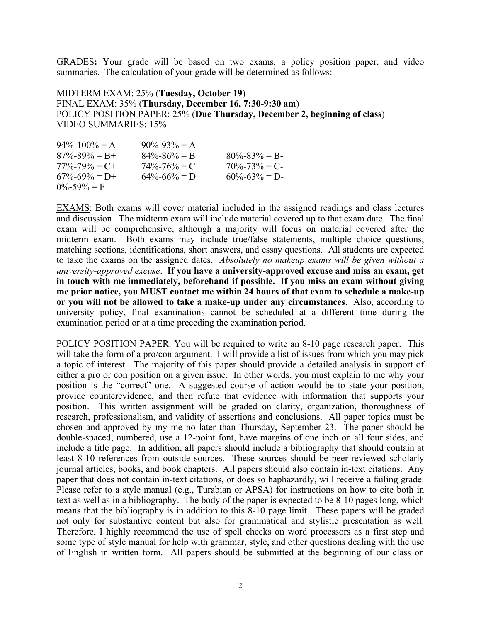GRADES**:** Your grade will be based on two exams, a policy position paper, and video summaries. The calculation of your grade will be determined as follows:

MIDTERM EXAM: 25% (**Tuesday, October 19**) FINAL EXAM: 35% (**Thursday, December 16, 7:30-9:30 am**) POLICY POSITION PAPER: 25% (**Due Thursday, December 2, beginning of class**) VIDEO SUMMARIES: 15%

| $94\% - 100\% = A$  | $90\% - 93\% = A$ |                   |
|---------------------|-------------------|-------------------|
| $87\% - 89\% = B +$ | $84\% - 86\% = B$ | $80\% - 83\% = B$ |
| $77\% - 79\% = C +$ | $74\% - 76\% = C$ | $70\% - 73\% = C$ |
| $67\% - 69\% = D +$ | $64\% - 66\% = D$ | $60\% - 63\% = D$ |
| $0\% - 59\% = F$    |                   |                   |

EXAMS: Both exams will cover material included in the assigned readings and class lectures and discussion. The midterm exam will include material covered up to that exam date. The final exam will be comprehensive, although a majority will focus on material covered after the midterm exam. Both exams may include true/false statements, multiple choice questions, matching sections, identifications, short answers, and essay questions. All students are expected to take the exams on the assigned dates. *Absolutely no makeup exams will be given without a university-approved excuse*. **If you have a university-approved excuse and miss an exam, get in touch with me immediately, beforehand if possible. If you miss an exam without giving me prior notice, you MUST contact me within 24 hours of that exam to schedule a make-up or you will not be allowed to take a make-up under any circumstances**. Also, according to university policy, final examinations cannot be scheduled at a different time during the examination period or at a time preceding the examination period.

POLICY POSITION PAPER: You will be required to write an 8-10 page research paper. This will take the form of a pro/con argument. I will provide a list of issues from which you may pick a topic of interest. The majority of this paper should provide a detailed analysis in support of either a pro or con position on a given issue. In other words, you must explain to me why your position is the "correct" one. A suggested course of action would be to state your position, provide counterevidence, and then refute that evidence with information that supports your position. This written assignment will be graded on clarity, organization, thoroughness of research, professionalism, and validity of assertions and conclusions. All paper topics must be chosen and approved by my me no later than Thursday, September 23. The paper should be double-spaced, numbered, use a 12-point font, have margins of one inch on all four sides, and include a title page. In addition, all papers should include a bibliography that should contain at least 8-10 references from outside sources. These sources should be peer-reviewed scholarly journal articles, books, and book chapters. All papers should also contain in-text citations. Any paper that does not contain in-text citations, or does so haphazardly, will receive a failing grade. Please refer to a style manual (e.g., Turabian or APSA) for instructions on how to cite both in text as well as in a bibliography. The body of the paper is expected to be 8-10 pages long, which means that the bibliography is in addition to this 8-10 page limit. These papers will be graded not only for substantive content but also for grammatical and stylistic presentation as well. Therefore, I highly recommend the use of spell checks on word processors as a first step and some type of style manual for help with grammar, style, and other questions dealing with the use of English in written form. All papers should be submitted at the beginning of our class on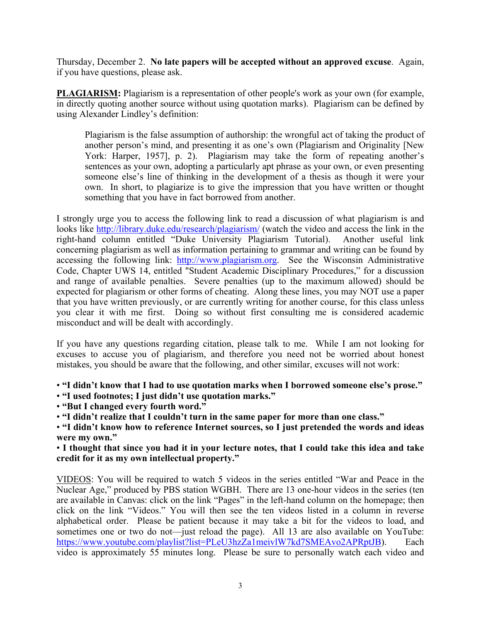Thursday, December 2. **No late papers will be accepted without an approved excuse**. Again, if you have questions, please ask.

**PLAGIARISM:** Plagiarism is a representation of other people's work as your own (for example, in directly quoting another source without using quotation marks). Plagiarism can be defined by using Alexander Lindley's definition:

Plagiarism is the false assumption of authorship: the wrongful act of taking the product of another person's mind, and presenting it as one's own (Plagiarism and Originality [New York: Harper, 1957], p. 2). Plagiarism may take the form of repeating another's sentences as your own, adopting a particularly apt phrase as your own, or even presenting someone else's line of thinking in the development of a thesis as though it were your own. In short, to plagiarize is to give the impression that you have written or thought something that you have in fact borrowed from another.

I strongly urge you to access the following link to read a discussion of what plagiarism is and looks like http://library.duke.edu/research/plagiarism/ (watch the video and access the link in the right-hand column entitled "Duke University Plagiarism Tutorial). Another useful link concerning plagiarism as well as information pertaining to grammar and writing can be found by accessing the following link: http://www.plagiarism.org. See the Wisconsin Administrative Code, Chapter UWS 14, entitled "Student Academic Disciplinary Procedures," for a discussion and range of available penalties. Severe penalties (up to the maximum allowed) should be expected for plagiarism or other forms of cheating. Along these lines, you may NOT use a paper that you have written previously, or are currently writing for another course, for this class unless you clear it with me first. Doing so without first consulting me is considered academic misconduct and will be dealt with accordingly.

If you have any questions regarding citation, please talk to me. While I am not looking for excuses to accuse you of plagiarism, and therefore you need not be worried about honest mistakes, you should be aware that the following, and other similar, excuses will not work:

• **"I didn't know that I had to use quotation marks when I borrowed someone else's prose."** 

• **"I used footnotes; I just didn't use quotation marks."** 

• **"But I changed every fourth word."** 

• **"I didn't realize that I couldn't turn in the same paper for more than one class."** 

• **"I didn't know how to reference Internet sources, so I just pretended the words and ideas were my own."** 

• **I thought that since you had it in your lecture notes, that I could take this idea and take credit for it as my own intellectual property."** 

VIDEOS: You will be required to watch 5 videos in the series entitled "War and Peace in the Nuclear Age," produced by PBS station WGBH. There are 13 one-hour videos in the series (ten are available in Canvas: click on the link "Pages" in the left-hand column on the homepage; then click on the link "Videos." You will then see the ten videos listed in a column in reverse alphabetical order. Please be patient because it may take a bit for the videos to load, and sometimes one or two do not—just reload the page). All 13 are also available on YouTube: https://www.youtube.com/playlist?list=PLeU3hzZa1meivlW7kd7SMEAvo2APRptJB). Each video is approximately 55 minutes long. Please be sure to personally watch each video and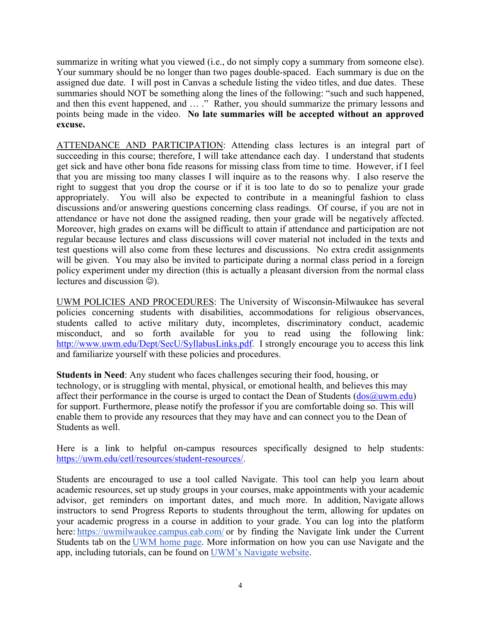summarize in writing what you viewed (i.e., do not simply copy a summary from someone else). Your summary should be no longer than two pages double-spaced. Each summary is due on the assigned due date. I will post in Canvas a schedule listing the video titles, and due dates. These summaries should NOT be something along the lines of the following: "such and such happened, and then this event happened, and … ." Rather, you should summarize the primary lessons and points being made in the video. **No late summaries will be accepted without an approved excuse.** 

ATTENDANCE AND PARTICIPATION: Attending class lectures is an integral part of succeeding in this course; therefore, I will take attendance each day. I understand that students get sick and have other bona fide reasons for missing class from time to time. However, if I feel that you are missing too many classes I will inquire as to the reasons why. I also reserve the right to suggest that you drop the course or if it is too late to do so to penalize your grade appropriately. You will also be expected to contribute in a meaningful fashion to class discussions and/or answering questions concerning class readings. Of course, if you are not in attendance or have not done the assigned reading, then your grade will be negatively affected. Moreover, high grades on exams will be difficult to attain if attendance and participation are not regular because lectures and class discussions will cover material not included in the texts and test questions will also come from these lectures and discussions. No extra credit assignments will be given. You may also be invited to participate during a normal class period in a foreign policy experiment under my direction (this is actually a pleasant diversion from the normal class lectures and discussion  $\circledcirc$ ).

UWM POLICIES AND PROCEDURES: The University of Wisconsin-Milwaukee has several policies concerning students with disabilities, accommodations for religious observances, students called to active military duty, incompletes, discriminatory conduct, academic misconduct, and so forth available for you to read using the following link: http://www.uwm.edu/Dept/SecU/SyllabusLinks.pdf. I strongly encourage you to access this link and familiarize yourself with these policies and procedures.

**Students in Need**: Any student who faces challenges securing their food, housing, or technology, or is struggling with mental, physical, or emotional health, and believes this may affect their performance in the course is urged to contact the Dean of Students  $(dos@uum.edu)$ for support. Furthermore, please notify the professor if you are comfortable doing so. This will enable them to provide any resources that they may have and can connect you to the Dean of Students as well.

Here is a link to helpful on-campus resources specifically designed to help students: https://uwm.edu/cetl/resources/student-resources/.

Students are encouraged to use a tool called Navigate. This tool can help you learn about academic resources, set up study groups in your courses, make appointments with your academic advisor, get reminders on important dates, and much more. In addition, Navigate allows instructors to send Progress Reports to students throughout the term, allowing for updates on your academic progress in a course in addition to your grade. You can log into the platform here: https://uwmilwaukee.campus.eab.com/ or by finding the Navigate link under the Current Students tab on the UWM home page. More information on how you can use Navigate and the app, including tutorials, can be found on UWM's Navigate website.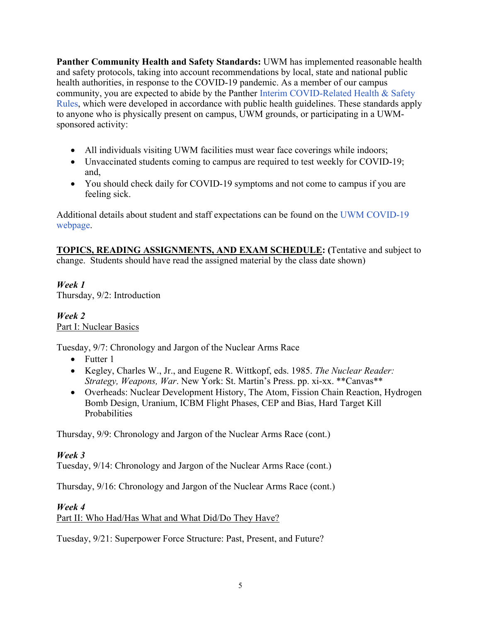**Panther Community Health and Safety Standards:** UWM has implemented reasonable health and safety protocols, taking into account recommendations by local, state and national public health authorities, in response to the COVID-19 pandemic. As a member of our campus community, you are expected to abide by the Panther Interim COVID-Related Health & Safety Rules, which were developed in accordance with public health guidelines. These standards apply to anyone who is physically present on campus, UWM grounds, or participating in a UWMsponsored activity:

- All individuals visiting UWM facilities must wear face coverings while indoors;
- Unvaccinated students coming to campus are required to test weekly for COVID-19; and,
- You should check daily for COVID-19 symptoms and not come to campus if you are feeling sick.

Additional details about student and staff expectations can be found on the UWM COVID-19 webpage.

**TOPICS, READING ASSIGNMENTS, AND EXAM SCHEDULE: (**Tentative and subject to change. Students should have read the assigned material by the class date shown)

*Week 1*  Thursday, 9/2: Introduction

*Week 2* Part I: Nuclear Basics

Tuesday, 9/7: Chronology and Jargon of the Nuclear Arms Race

- $\bullet$  Futter 1
- Kegley, Charles W., Jr., and Eugene R. Wittkopf, eds. 1985. *The Nuclear Reader: Strategy, Weapons, War*. New York: St. Martin's Press. pp. xi-xx. \*\*Canvas\*\*
- Overheads: Nuclear Development History, The Atom, Fission Chain Reaction, Hydrogen Bomb Design, Uranium, ICBM Flight Phases, CEP and Bias, Hard Target Kill Probabilities

Thursday, 9/9: Chronology and Jargon of the Nuclear Arms Race (cont.)

# *Week 3*

Tuesday, 9/14: Chronology and Jargon of the Nuclear Arms Race (cont.)

Thursday, 9/16: Chronology and Jargon of the Nuclear Arms Race (cont.)

## *Week 4*

Part II: Who Had/Has What and What Did/Do They Have?

Tuesday, 9/21: Superpower Force Structure: Past, Present, and Future?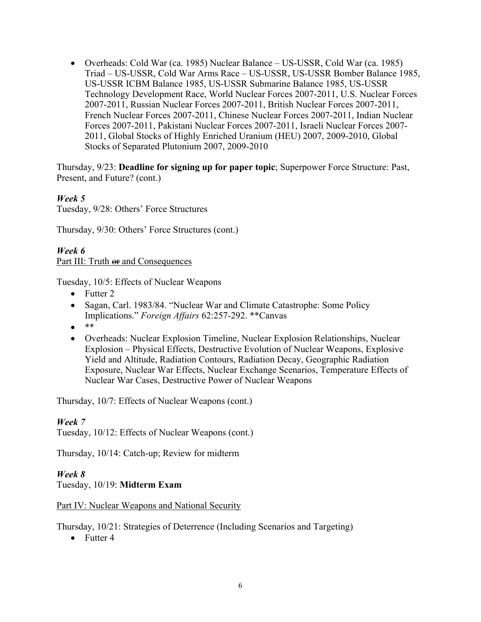Overheads: Cold War (ca. 1985) Nuclear Balance – US-USSR, Cold War (ca. 1985) Triad – US-USSR, Cold War Arms Race – US-USSR, US-USSR Bomber Balance 1985, US-USSR ICBM Balance 1985, US-USSR Submarine Balance 1985, US-USSR Technology Development Race, World Nuclear Forces 2007-2011, U.S. Nuclear Forces 2007-2011, Russian Nuclear Forces 2007-2011, British Nuclear Forces 2007-2011, French Nuclear Forces 2007-2011, Chinese Nuclear Forces 2007-2011, Indian Nuclear Forces 2007-2011, Pakistani Nuclear Forces 2007-2011, Israeli Nuclear Forces 2007- 2011, Global Stocks of Highly Enriched Uranium (HEU) 2007, 2009-2010, Global Stocks of Separated Plutonium 2007, 2009-2010

Thursday, 9/23: **Deadline for signing up for paper topic**; Superpower Force Structure: Past, Present, and Future? (cont.)

*Week 5*  Tuesday, 9/28: Others' Force Structures

Thursday, 9/30: Others' Force Structures (cont.)

## *Week 6*  Part III: Truth or and Consequences

Tuesday, 10/5: Effects of Nuclear Weapons

- $\bullet$  Futter 2
- Sagan, Carl. 1983/84. "Nuclear War and Climate Catastrophe: Some Policy Implications." *Foreign Affairs* 62:257-292. \*\*Canvas
- $\bullet$
- Overheads: Nuclear Explosion Timeline, Nuclear Explosion Relationships, Nuclear Explosion – Physical Effects, Destructive Evolution of Nuclear Weapons, Explosive Yield and Altitude, Radiation Contours, Radiation Decay, Geographic Radiation Exposure, Nuclear War Effects, Nuclear Exchange Scenarios, Temperature Effects of Nuclear War Cases, Destructive Power of Nuclear Weapons

Thursday, 10/7: Effects of Nuclear Weapons (cont.)

## *Week 7*

Tuesday, 10/12: Effects of Nuclear Weapons (cont.)

Thursday, 10/14: Catch-up; Review for midterm

## *Week 8*

Tuesday, 10/19: **Midterm Exam**

Part IV: Nuclear Weapons and National Security

Thursday, 10/21: Strategies of Deterrence (Including Scenarios and Targeting)

 $\bullet$  Futter 4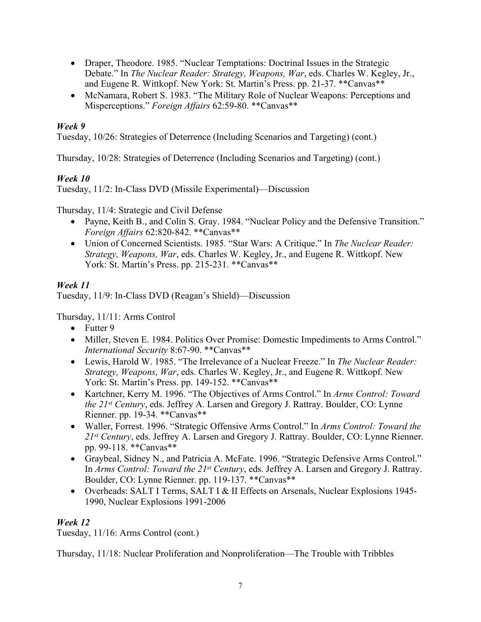- Draper, Theodore. 1985. "Nuclear Temptations: Doctrinal Issues in the Strategic Debate." In *The Nuclear Reader: Strategy, Weapons, War*, eds. Charles W. Kegley, Jr., and Eugene R. Wittkopf. New York: St. Martin's Press. pp. 21-37. \*\*Canvas\*\*
- McNamara, Robert S. 1983. "The Military Role of Nuclear Weapons: Perceptions and Misperceptions." *Foreign Affairs* 62:59-80. \*\*Canvas\*\*

## *Week 9*

Tuesday, 10/26: Strategies of Deterrence (Including Scenarios and Targeting) (cont.)

Thursday, 10/28: Strategies of Deterrence (Including Scenarios and Targeting) (cont.)

# *Week 10*

Tuesday, 11/2: In-Class DVD (Missile Experimental)—Discussion

Thursday, 11/4: Strategic and Civil Defense

- Payne, Keith B., and Colin S. Gray. 1984. "Nuclear Policy and the Defensive Transition." *Foreign Affairs* 62:820-842. \*\*Canvas\*\*
- Union of Concerned Scientists. 1985. "Star Wars: A Critique." In *The Nuclear Reader: Strategy, Weapons, War*, eds. Charles W. Kegley, Jr., and Eugene R. Wittkopf. New York: St. Martin's Press. pp. 215-231. \*\*Canvas\*\*

## *Week 11*

Tuesday, 11/9: In-Class DVD (Reagan's Shield)—Discussion

Thursday, 11/11: Arms Control

- $\bullet$  Futter 9
- Miller, Steven E. 1984. Politics Over Promise: Domestic Impediments to Arms Control." *International Security* 8:67-90. \*\*Canvas\*\*
- Lewis, Harold W. 1985. "The Irrelevance of a Nuclear Freeze." In *The Nuclear Reader: Strategy, Weapons, War*, eds. Charles W. Kegley, Jr., and Eugene R. Wittkopf. New York: St. Martin's Press. pp. 149-152. \*\*Canvas\*\*
- Kartchner, Kerry M. 1996. "The Objectives of Arms Control." In *Arms Control: Toward the 21st Century*, eds. Jeffrey A. Larsen and Gregory J. Rattray. Boulder, CO: Lynne Rienner. pp. 19-34. \*\*Canvas\*\*
- Waller, Forrest. 1996. "Strategic Offensive Arms Control." In *Arms Control: Toward the 21st Century*, eds. Jeffrey A. Larsen and Gregory J. Rattray. Boulder, CO: Lynne Rienner. pp. 99-118. \*\*Canvas\*\*
- Graybeal, Sidney N., and Patricia A. McFate. 1996. "Strategic Defensive Arms Control." In *Arms Control: Toward the 21st Century*, eds. Jeffrey A. Larsen and Gregory J. Rattray. Boulder, CO: Lynne Rienner. pp. 119-137. \*\*Canvas\*\*
- Overheads: SALT I Terms, SALT I & II Effects on Arsenals, Nuclear Explosions 1945- 1990, Nuclear Explosions 1991-2006

## *Week 12*

Tuesday, 11/16: Arms Control (cont.)

Thursday, 11/18: Nuclear Proliferation and Nonproliferation—The Trouble with Tribbles